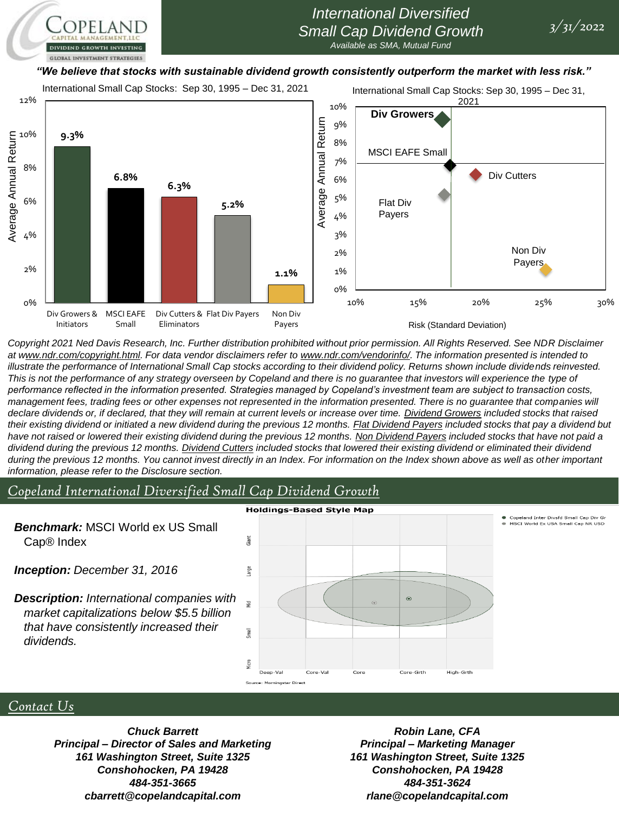# *International Diversified Small Cap Dividend Growth*

*Available as SMA, Mutual Fund*

#### *"We believe that stocks with sustainable dividend growth consistently outperform the market with less risk."*

International Small Cap Stocks: Sep 30, 1995 – Dec 31, 2021

**GLOBAL INVESTMENT STRATEGIES** 

International Small Cap Stocks: Sep 30, 1995 – Dec 31,



*Copyright 2021 Ned Davis Research, Inc. Further distribution prohibited without prior permission. All Rights Reserved. See NDR Disclaimer at www.ndr.com/copyright.html. For data vendor disclaimers refer to www.ndr.com/vendorinfo/. The information presented is intended to*  illustrate the performance of International Small Cap stocks according to their dividend policy. Returns shown include dividends reinvested. *This is not the performance of any strategy overseen by Copeland and there is no guarantee that investors will experience the type of performance reflected in the information presented. Strategies managed by Copeland's investment team are subject to transaction costs,*  management fees, trading fees or other expenses not represented in the information presented. There is no guarantee that companies will *declare dividends or, if declared, that they will remain at current levels or increase over time. Dividend Growers included stocks that raised their existing dividend or initiated a new dividend during the previous 12 months. Flat Dividend Payers included stocks that pay a dividend but have not raised or lowered their existing dividend during the previous 12 months. Non Dividend Payers included stocks that have not paid a dividend during the previous 12 months. Dividend Cutters included stocks that lowered their existing dividend or eliminated their dividend*  during the previous 12 months. You cannot invest directly in an Index. For information on the Index shown above as well as other *important information, please refer to the Disclosure section.*

### *Copeland International Diversified Small Cap Dividend Growth*

#### **Holdings-Based Style Map** .<br>Copeland Inter Divsfd Small Cap Div G<br>MSCI World Ex USA Small Cap NR USD *Benchmark:* MSCI World ex US Small Giant Cap® Index *Inception: December 31, 2016* Large *Description: International companies with*   $\odot$ iid<br>更 *market capitalizations below \$5.5 billion that have consistently increased their*  Small *dividends.* **Vicro** High-Grth Core-Grth ar Di

#### *Contact Us*

*Chuck Barrett Principal – Director of Sales and Marketing 161 Washington Street, Suite 1325 Conshohocken, PA 19428 484-351-3665 cbarrett@copelandcapital.com*

*Robin Lane, CFA Principal – Marketing Manager 161 Washington Street, Suite 1325 Conshohocken, PA 19428 484-351-3624 rlane@copelandcapital.com*

*3/31/2022*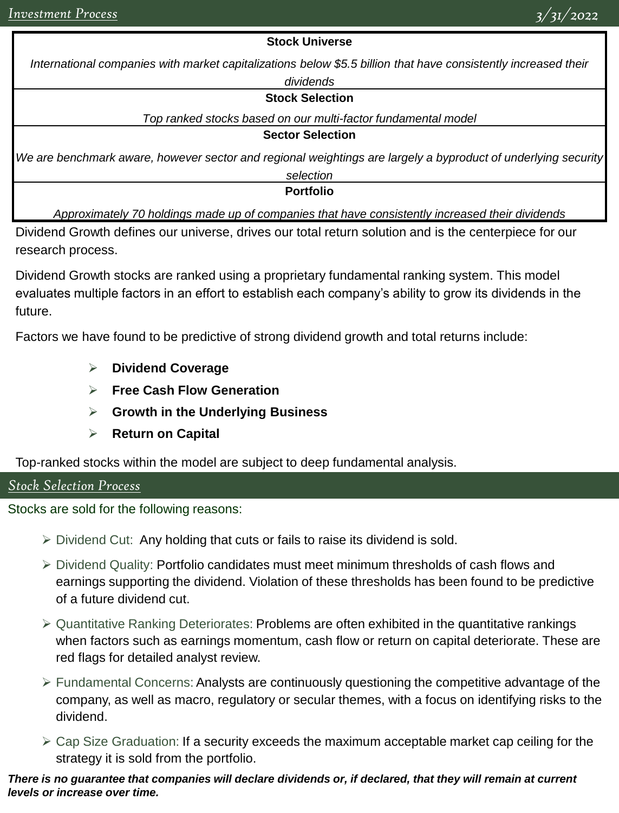### **Stock Universe**

*International companies with market capitalizations below \$5.5 billion that have consistently increased their* 

## *dividends*

#### **Stock Selection**

*Top ranked stocks based on our multi-factor fundamental model*

**Sector Selection**

*We are benchmark aware, however sector and regional weightings are largely a byproduct of underlying security* 

*selection*

**Portfolio**

*Approximately 70 holdings made up of companies that have consistently increased their dividends*

Dividend Growth defines our universe, drives our total return solution and is the centerpiece for our research process.

Dividend Growth stocks are ranked using a proprietary fundamental ranking system. This model evaluates multiple factors in an effort to establish each company's ability to grow its dividends in the future.

Factors we have found to be predictive of strong dividend growth and total returns include:

- ➢ **Dividend Coverage**
- ➢ **Free Cash Flow Generation**
- ➢ **Growth in the Underlying Business**
- ➢ **Return on Capital**

Top-ranked stocks within the model are subject to deep fundamental analysis.

# *Stock Selection Process*

Stocks are sold for the following reasons:

- ➢ Dividend Cut: Any holding that cuts or fails to raise its dividend is sold.
- ➢ Dividend Quality: Portfolio candidates must meet minimum thresholds of cash flows and earnings supporting the dividend. Violation of these thresholds has been found to be predictive of a future dividend cut.
- ➢ Quantitative Ranking Deteriorates: Problems are often exhibited in the quantitative rankings when factors such as earnings momentum, cash flow or return on capital deteriorate. These are red flags for detailed analyst review.
- ➢ Fundamental Concerns: Analysts are continuously questioning the competitive advantage of the company, as well as macro, regulatory or secular themes, with a focus on identifying risks to the dividend.
- $\triangleright$  Cap Size Graduation: If a security exceeds the maximum acceptable market cap ceiling for the strategy it is sold from the portfolio.

*There is no guarantee that companies will declare dividends or, if declared, that they will remain at current levels or increase over time.*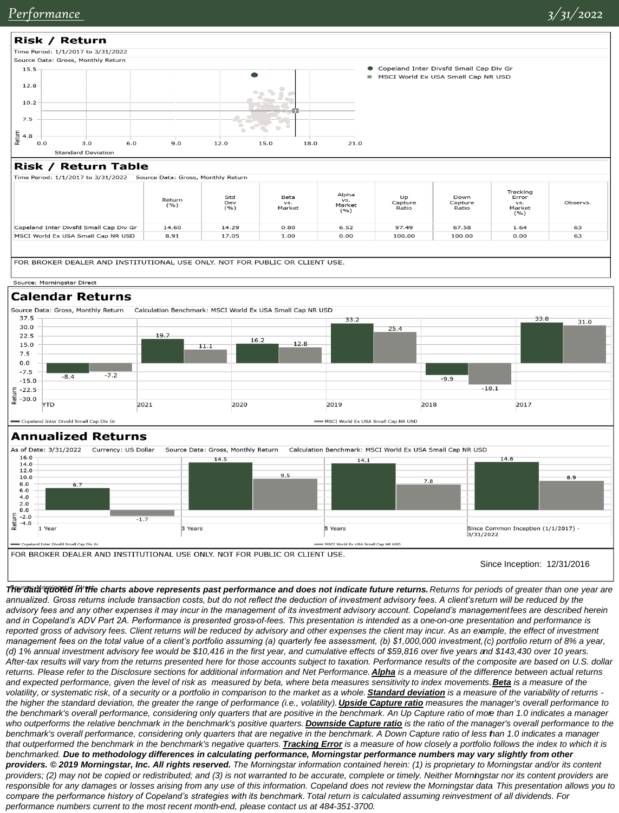

and expected performance, given the level of risk as measured by beta, where beta measures sensitivity to index movements. **Beta** is a measure of the *volatility, or systematic risk, of a security or a portfolio in comparison to the market as a whole. Standard deviation is a measure of the variability of returns*  the higher the standard deviation, the greater the range of performance (i.e., volatility). **Upside Capture ratio** measures the manager's overall performance to *the benchmark's overall performance, considering only quarters that are positive in the benchmark. An Up Capture ratio of more than 1.0 indicates a manager*  who outperforms the relative benchmark in the benchmark's positive quarters. **Downside Capture ratio** is the ratio of the manager's overall performance to the *benchmark's overall performance, considering only quarters that are negative in the benchmark. A Down Capture ratio of less than 1.0 indicates a manager that outperformed the benchmark in the benchmark's negative quarters. Tracking Error is a measure of how closely a portfolio follows the index to which it is benchmarked. Due to methodology differences in calculating performance, Morningstar performance numbers may vary slightly from other providers. © 2019 Morningstar, Inc. All rights reserved. The Morningstar information contained herein: (1) is proprietary to Morningstar and/or its content providers; (2) may not be copied or redistributed; and (3) is not warranted to be accurate, complete or timely. Neither Morningstar nor its content providers are responsible for any damages or losses arising from any use of this information. Copeland does not review the Morningstar data. This presentation allows you to compare the performance history of Copeland's strategies with its benchmark. Total return is calculated assuming reinvestment of all dividends. For* 

*performance numbers current to the most recent month-end, please contact us at 484-351-3700.*